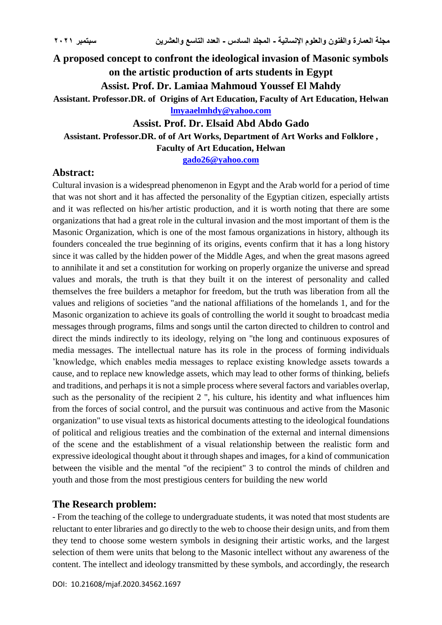# **A proposed concept to confront the ideological invasion of Masonic symbols on the artistic production of arts students in Egypt Assist. Prof. Dr. Lamiaa Mahmoud Youssef El Mahdy Assistant. Professor.DR. of Origins of Art Education, Faculty of Art Education, Helwan**

**[lmyaaelmhdy@yahoo.com](mailto:lmyaaelmhdy@yahoo.com)**

### **Assist. Prof. Dr. Elsaid Abd Abdo Gado**

## **Assistant. Professor.DR. of of Art Works, Department of Art Works and Folklore ,**

**Faculty of Art Education, Helwan** 

**[gado26@yahoo.com](mailto:gado26@yahoo.com)**

### **Abstract:**

Cultural invasion is a widespread phenomenon in Egypt and the Arab world for a period of time that was not short and it has affected the personality of the Egyptian citizen, especially artists and it was reflected on his/her artistic production, and it is worth noting that there are some organizations that had a great role in the cultural invasion and the most important of them is the Masonic Organization, which is one of the most famous organizations in history, although its founders concealed the true beginning of its origins, events confirm that it has a long history since it was called by the hidden power of the Middle Ages, and when the great masons agreed to annihilate it and set a constitution for working on properly organize the universe and spread values and morals, the truth is that they built it on the interest of personality and called themselves the free builders a metaphor for freedom, but the truth was liberation from all the values and religions of societies "and the national affiliations of the homelands 1, and for the Masonic organization to achieve its goals of controlling the world it sought to broadcast media messages through programs, films and songs until the carton directed to children to control and direct the minds indirectly to its ideology, relying on "the long and continuous exposures of media messages. The intellectual nature has its role in the process of forming individuals 'knowledge, which enables media messages to replace existing knowledge assets towards a cause, and to replace new knowledge assets, which may lead to other forms of thinking, beliefs and traditions, and perhaps it is not a simple process where several factors and variables overlap, such as the personality of the recipient 2 ", his culture, his identity and what influences him from the forces of social control, and the pursuit was continuous and active from the Masonic organization" to use visual texts as historical documents attesting to the ideological foundations of political and religious treaties and the combination of the external and internal dimensions of the scene and the establishment of a visual relationship between the realistic form and expressive ideological thought about it through shapes and images, for a kind of communication between the visible and the mental "of the recipient" 3 to control the minds of children and youth and those from the most prestigious centers for building the new world

### **The Research problem:**

- From the teaching of the college to undergraduate students, it was noted that most students are reluctant to enter libraries and go directly to the web to choose their design units, and from them they tend to choose some western symbols in designing their artistic works, and the largest selection of them were units that belong to the Masonic intellect without any awareness of the content. The intellect and ideology transmitted by these symbols, and accordingly, the research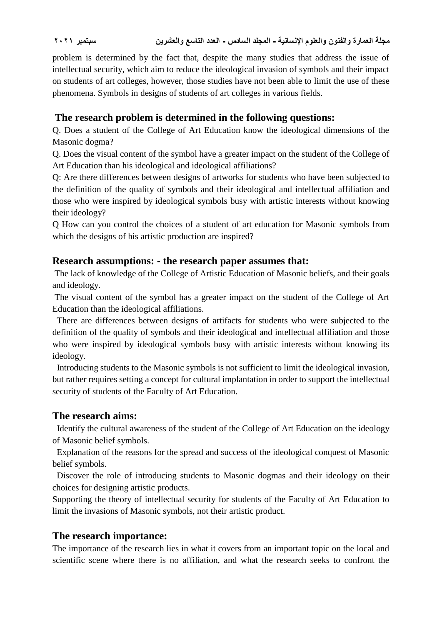problem is determined by the fact that, despite the many studies that address the issue of intellectual security, which aim to reduce the ideological invasion of symbols and their impact on students of art colleges, however, those studies have not been able to limit the use of these phenomena. Symbols in designs of students of art colleges in various fields.

## **The research problem is determined in the following questions:**

Q. Does a student of the College of Art Education know the ideological dimensions of the Masonic dogma?

Q. Does the visual content of the symbol have a greater impact on the student of the College of Art Education than his ideological and ideological affiliations?

Q: Are there differences between designs of artworks for students who have been subjected to the definition of the quality of symbols and their ideological and intellectual affiliation and those who were inspired by ideological symbols busy with artistic interests without knowing their ideology?

Q How can you control the choices of a student of art education for Masonic symbols from which the designs of his artistic production are inspired?

### **Research assumptions: - the research paper assumes that:**

The lack of knowledge of the College of Artistic Education of Masonic beliefs, and their goals and ideology.

The visual content of the symbol has a greater impact on the student of the College of Art Education than the ideological affiliations.

 There are differences between designs of artifacts for students who were subjected to the definition of the quality of symbols and their ideological and intellectual affiliation and those who were inspired by ideological symbols busy with artistic interests without knowing its ideology.

 Introducing students to the Masonic symbols is not sufficient to limit the ideological invasion, but rather requires setting a concept for cultural implantation in order to support the intellectual security of students of the Faculty of Art Education.

### **The research aims:**

 Identify the cultural awareness of the student of the College of Art Education on the ideology of Masonic belief symbols.

 Explanation of the reasons for the spread and success of the ideological conquest of Masonic belief symbols.

 Discover the role of introducing students to Masonic dogmas and their ideology on their choices for designing artistic products.

Supporting the theory of intellectual security for students of the Faculty of Art Education to limit the invasions of Masonic symbols, not their artistic product.

### **The research importance:**

The importance of the research lies in what it covers from an important topic on the local and scientific scene where there is no affiliation, and what the research seeks to confront the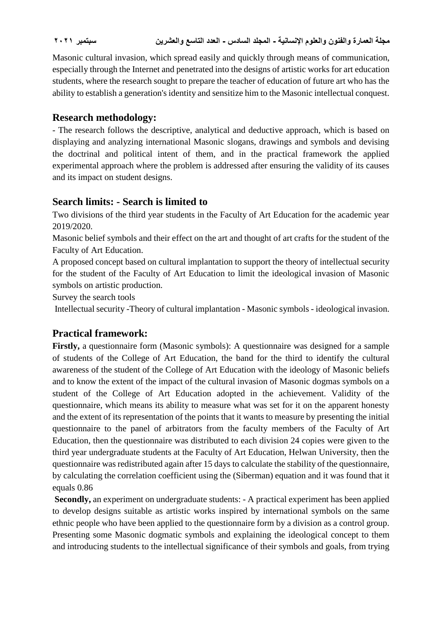Masonic cultural invasion, which spread easily and quickly through means of communication, especially through the Internet and penetrated into the designs of artistic works for art education students, where the research sought to prepare the teacher of education of future art who has the ability to establish a generation's identity and sensitize him to the Masonic intellectual conquest.

## **Research methodology:**

- The research follows the descriptive, analytical and deductive approach, which is based on displaying and analyzing international Masonic slogans, drawings and symbols and devising the doctrinal and political intent of them, and in the practical framework the applied experimental approach where the problem is addressed after ensuring the validity of its causes and its impact on student designs.

## **Search limits: - Search is limited to**

Two divisions of the third year students in the Faculty of Art Education for the academic year 2019/2020.

Masonic belief symbols and their effect on the art and thought of art crafts for the student of the Faculty of Art Education.

A proposed concept based on cultural implantation to support the theory of intellectual security for the student of the Faculty of Art Education to limit the ideological invasion of Masonic symbols on artistic production.

Survey the search tools

Intellectual security -Theory of cultural implantation - Masonic symbols - ideological invasion.

# **Practical framework:**

**Firstly,** a questionnaire form (Masonic symbols): A questionnaire was designed for a sample of students of the College of Art Education, the band for the third to identify the cultural awareness of the student of the College of Art Education with the ideology of Masonic beliefs and to know the extent of the impact of the cultural invasion of Masonic dogmas symbols on a student of the College of Art Education adopted in the achievement. Validity of the questionnaire, which means its ability to measure what was set for it on the apparent honesty and the extent of its representation of the points that it wants to measure by presenting the initial questionnaire to the panel of arbitrators from the faculty members of the Faculty of Art Education, then the questionnaire was distributed to each division 24 copies were given to the third year undergraduate students at the Faculty of Art Education, Helwan University, then the questionnaire was redistributed again after 15 days to calculate the stability of the questionnaire, by calculating the correlation coefficient using the (Siberman) equation and it was found that it equals 0.86

**Secondly,** an experiment on undergraduate students: - A practical experiment has been applied to develop designs suitable as artistic works inspired by international symbols on the same ethnic people who have been applied to the questionnaire form by a division as a control group. Presenting some Masonic dogmatic symbols and explaining the ideological concept to them and introducing students to the intellectual significance of their symbols and goals, from trying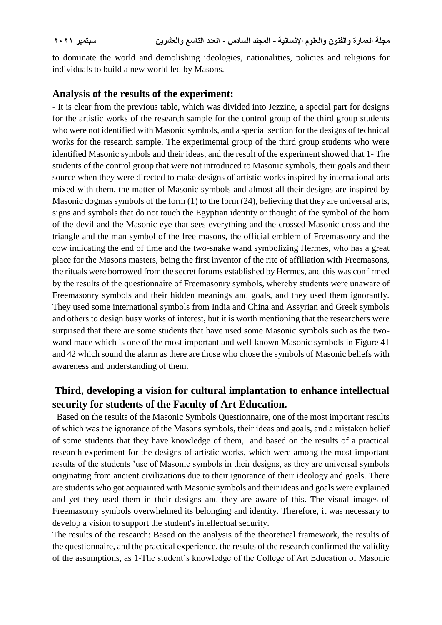to dominate the world and demolishing ideologies, nationalities, policies and religions for individuals to build a new world led by Masons.

### **Analysis of the results of the experiment:**

- It is clear from the previous table, which was divided into Jezzine, a special part for designs for the artistic works of the research sample for the control group of the third group students who were not identified with Masonic symbols, and a special section for the designs of technical works for the research sample. The experimental group of the third group students who were identified Masonic symbols and their ideas, and the result of the experiment showed that 1- The students of the control group that were not introduced to Masonic symbols, their goals and their source when they were directed to make designs of artistic works inspired by international arts mixed with them, the matter of Masonic symbols and almost all their designs are inspired by Masonic dogmas symbols of the form  $(1)$  to the form  $(24)$ , believing that they are universal arts, signs and symbols that do not touch the Egyptian identity or thought of the symbol of the horn of the devil and the Masonic eye that sees everything and the crossed Masonic cross and the triangle and the man symbol of the free masons, the official emblem of Freemasonry and the cow indicating the end of time and the two-snake wand symbolizing Hermes, who has a great place for the Masons masters, being the first inventor of the rite of affiliation with Freemasons, the rituals were borrowed from the secret forums established by Hermes, and this was confirmed by the results of the questionnaire of Freemasonry symbols, whereby students were unaware of Freemasonry symbols and their hidden meanings and goals, and they used them ignorantly. They used some international symbols from India and China and Assyrian and Greek symbols and others to design busy works of interest, but it is worth mentioning that the researchers were surprised that there are some students that have used some Masonic symbols such as the twowand mace which is one of the most important and well-known Masonic symbols in Figure 41 and 42 which sound the alarm as there are those who chose the symbols of Masonic beliefs with awareness and understanding of them.

## **Third, developing a vision for cultural implantation to enhance intellectual security for students of the Faculty of Art Education.**

 Based on the results of the Masonic Symbols Questionnaire, one of the most important results of which was the ignorance of the Masons symbols, their ideas and goals, and a mistaken belief of some students that they have knowledge of them, and based on the results of a practical research experiment for the designs of artistic works, which were among the most important results of the students 'use of Masonic symbols in their designs, as they are universal symbols originating from ancient civilizations due to their ignorance of their ideology and goals. There are students who got acquainted with Masonic symbols and their ideas and goals were explained and yet they used them in their designs and they are aware of this. The visual images of Freemasonry symbols overwhelmed its belonging and identity. Therefore, it was necessary to develop a vision to support the student's intellectual security.

The results of the research: Based on the analysis of the theoretical framework, the results of the questionnaire, and the practical experience, the results of the research confirmed the validity of the assumptions, as 1-The student's knowledge of the College of Art Education of Masonic